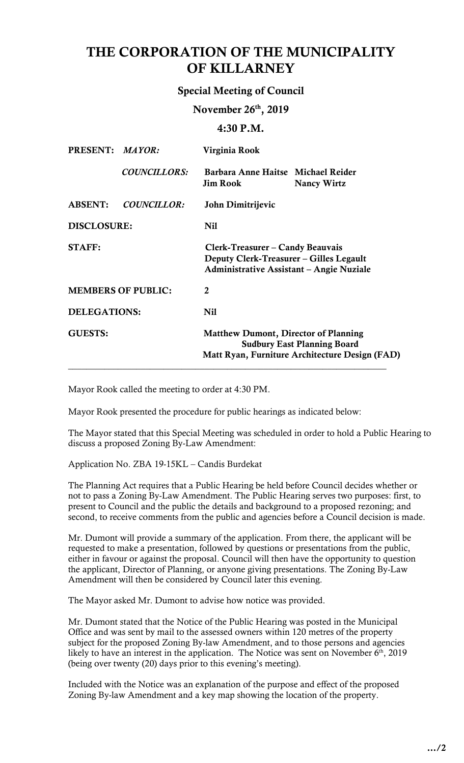# THE CORPORATION OF THE MUNICIPALITY OF KILLARNEY

# Special Meeting of Council

November 26th, 2019

 $4:30 P.M.$ 

| PRESENT: MAYOR:           |                     | Virginia Rook                                                                                                                       |                    |
|---------------------------|---------------------|-------------------------------------------------------------------------------------------------------------------------------------|--------------------|
|                           | <b>COUNCILLORS:</b> | Barbara Anne Haitse Michael Reider<br><b>Jim Rook</b>                                                                               | <b>Nancy Wirtz</b> |
| <b>ABSENT:</b>            | <b>COUNCILLOR:</b>  | John Dimitrijevic                                                                                                                   |                    |
| <b>DISCLOSURE:</b>        |                     | <b>Nil</b>                                                                                                                          |                    |
| <b>STAFF:</b>             |                     | Clerk-Treasurer – Candy Beauvais<br>Deputy Clerk-Treasurer – Gilles Legault<br><b>Administrative Assistant – Angie Nuziale</b>      |                    |
| <b>MEMBERS OF PUBLIC:</b> |                     | $\mathbf{2}$                                                                                                                        |                    |
| <b>DELEGATIONS:</b>       |                     | <b>Nil</b>                                                                                                                          |                    |
| <b>GUESTS:</b>            |                     | <b>Matthew Dumont, Director of Planning</b><br><b>Sudbury East Planning Board</b><br>Matt Ryan, Furniture Architecture Design (FAD) |                    |

Mayor Rook called the meeting to order at 4:30 PM.

Mayor Rook presented the procedure for public hearings as indicated below:

 The Mayor stated that this Special Meeting was scheduled in order to hold a Public Hearing to discuss a proposed Zoning By-Law Amendment:

Application No. ZBA 19-15KL – Candis Burdekat

 The Planning Act requires that a Public Hearing be held before Council decides whether or not to pass a Zoning By-Law Amendment. The Public Hearing serves two purposes: first, to second, to receive comments from the public and agencies before a Council decision is made. present to Council and the public the details and background to a proposed rezoning; and

 Mr. Dumont will provide a summary of the application. From there, the applicant will be requested to make a presentation, followed by questions or presentations from the public, either in favour or against the proposal. Council will then have the opportunity to question the applicant, Director of Planning, or anyone giving presentations. The Zoning By-Law Amendment will then be considered by Council later this evening.

The Mayor asked Mr. Dumont to advise how notice was provided.

Mr. Dumont stated that the Notice of the Public Hearing was posted in the Municipal Office and was sent by mail to the assessed owners within 120 metres of the property subject for the proposed Zoning By-law Amendment, and to those persons and agencies likely to have an interest in the application. The Notice was sent on November  $6<sup>th</sup>$ , 2019 (being over twenty (20) days prior to this evening's meeting).

 Included with the Notice was an explanation of the purpose and effect of the proposed Zoning By-law Amendment and a key map showing the location of the property.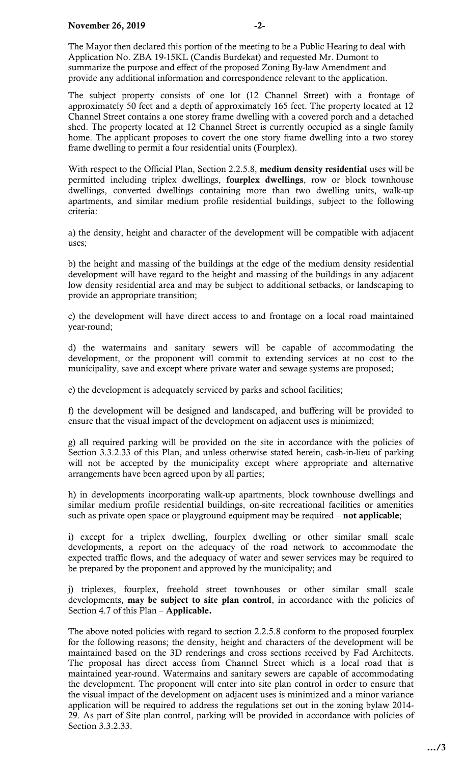The Mayor then declared this portion of the meeting to be a Public Hearing to deal with summarize the purpose and effect of the proposed Zoning By-law Amendment and provide any additional information and correspondence relevant to the application. Application No. ZBA 19-15KL (Candis Burdekat) and requested Mr. Dumont to

 The subject property consists of one lot (12 Channel Street) with a frontage of approximately 50 feet and a depth of approximately 165 feet. The property located at 12 home. The applicant proposes to covert the one story frame dwelling into a two storey Channel Street contains a one storey frame dwelling with a covered porch and a detached shed. The property located at 12 Channel Street is currently occupied as a single family frame dwelling to permit a four residential units (Fourplex).

With respect to the Official Plan, Section 2.2.5.8, medium density residential uses will be apartments, and similar medium profile residential buildings, subject to the following permitted including triplex dwellings, fourplex dwellings, row or block townhouse dwellings, converted dwellings containing more than two dwelling units, walk-up criteria:

 a) the density, height and character of the development will be compatible with adjacent uses;

 b) the height and massing of the buildings at the edge of the medium density residential development will have regard to the height and massing of the buildings in any adjacent low density residential area and may be subject to additional setbacks, or landscaping to provide an appropriate transition;

 c) the development will have direct access to and frontage on a local road maintained year-round;

 d) the watermains and sanitary sewers will be capable of accommodating the development, or the proponent will commit to extending services at no cost to the municipality, save and except where private water and sewage systems are proposed;

e) the development is adequately serviced by parks and school facilities;

 f) the development will be designed and landscaped, and buffering will be provided to ensure that the visual impact of the development on adjacent uses is minimized;

 g) all required parking will be provided on the site in accordance with the policies of Section 3.3.2.33 of this Plan, and unless otherwise stated herein, cash-in-lieu of parking will not be accepted by the municipality except where appropriate and alternative arrangements have been agreed upon by all parties;

 h) in developments incorporating walk-up apartments, block townhouse dwellings and similar medium profile residential buildings, on-site recreational facilities or amenities such as private open space or playground equipment may be required – not applicable;

 i) except for a triplex dwelling, fourplex dwelling or other similar small scale developments, a report on the adequacy of the road network to accommodate the expected traffic flows, and the adequacy of water and sewer services may be required to be prepared by the proponent and approved by the municipality; and

 j) triplexes, fourplex, freehold street townhouses or other similar small scale developments, may be subject to site plan control, in accordance with the policies of Section 4.7 of this Plan – **Applicable.** 

The above noted policies with regard to section 2.2.5.8 conform to the proposed fourplex for the following reasons; the density, height and characters of the development will be maintained based on the 3D renderings and cross sections received by Fad Architects. The proposal has direct access from Channel Street which is a local road that is maintained year-round. Watermains and sanitary sewers are capable of accommodating the development. The proponent will enter into site plan control in order to ensure that the visual impact of the development on adjacent uses is minimized and a minor variance application will be required to address the regulations set out in the zoning bylaw 2014- 29. As part of Site plan control, parking will be provided in accordance with policies of Section 3.3.2.33.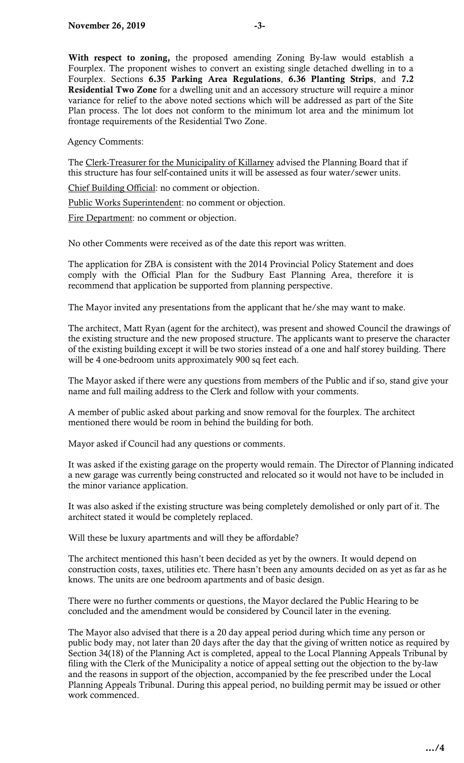Agency Comments:

 this structure has four self-contained units it will be assessed as four water/sewer units. The Clerk-Treasurer for the Municipality of Killarney advised the Planning Board that if

Chief Building Official: no comment or objection.

Public Works Superintendent: no comment or objection.

Fire Department: no comment or objection.

No other Comments were received as of the date this report was written.

 comply with the Official Plan for the Sudbury East Planning Area, therefore it is recommend that application be supported from planning perspective. The application for ZBA is consistent with the 2014 Provincial Policy Statement and does

The Mayor invited any presentations from the applicant that he/she may want to make.

 The architect, Matt Ryan (agent for the architect), was present and showed Council the drawings of the existing structure and the new proposed structure. The applicants want to preserve the character of the existing building except it will be two stories instead of a one and half storey building. There will be 4 one-bedroom units approximately 900 sq feet each.

 The Mayor asked if there were any questions from members of the Public and if so, stand give your name and full mailing address to the Clerk and follow with your comments.

 A member of public asked about parking and snow removal for the fourplex. The architect mentioned there would be room in behind the building for both.

Mayor asked if Council had any questions or comments.

 It was asked if the existing garage on the property would remain. The Director of Planning indicated a new garage was currently being constructed and relocated so it would not have to be included in the minor variance application.

 It was also asked if the existing structure was being completely demolished or only part of it. The architect stated it would be completely replaced.

Will these be luxury apartments and will they be affordable?

 The architect mentioned this hasn't been decided as yet by the owners. It would depend on construction costs, taxes, utilities etc. There hasn't been any amounts decided on as yet as far as he knows. The units are one bedroom apartments and of basic design.

There were no further comments or questions, the Mayor declared the Public Hearing to be concluded and the amendment would be considered by Council later in the evening.

 The Mayor also advised that there is a 20 day appeal period during which time any person or Section 34(18) of the Planning Act is completed, appeal to the Local Planning Appeals Tribunal by and the reasons in support of the objection, accompanied by the fee prescribed under the Local Planning Appeals Tribunal. During this appeal period, no building permit may be issued or other public body may, not later than 20 days after the day that the giving of written notice as required by filing with the Clerk of the Municipality a notice of appeal setting out the objection to the by-law work commenced.